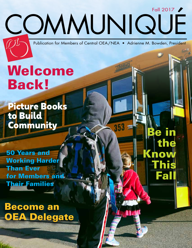Publication for Members of Central OEA/NEA • Adrienne M. Bowden, President

COMMUNIQUÉ

Fall 2017

the

This

now

Fall

# Welcome Back!

Picture Books to Build Community  $\overline{\phantom{a}}$   $\overline{\phantom{a}}$   $\overline{\phantom{a}}$   $\overline{\phantom{a}}$   $\overline{\phantom{a}}$   $\overline{\phantom{a}}$   $\overline{\phantom{a}}$   $\overline{\phantom{a}}$   $\overline{\phantom{a}}$   $\overline{\phantom{a}}$   $\overline{\phantom{a}}$   $\overline{\phantom{a}}$   $\overline{\phantom{a}}$   $\overline{\phantom{a}}$   $\overline{\phantom{a}}$   $\overline{\phantom{a}}$   $\overline{\phantom{a}}$   $\overline{\phantom$ 

50 Years and Working Harder Than Ever for Members and Their Families

Become an OEA Delegate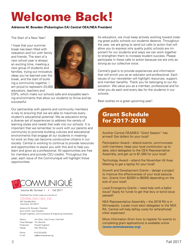## Welcome Back!

#### **Adrienne M. Bowden (Pickerington EA) Central OEA/NEA President**

The Start of a New Year!

I hope that your summer break has been filled with relaxation and fun with family and friends. The start of a new school year is always an exciting time, meeting a new group of students and families, trying out innovative ideas you've learned over the break, and the start of building a community together. I am proud to represent 23,000 educators, teachers and



ESPs, which make our schools safe and enjoyable learning environments that allow our students to thrive and be successful.

Our partnership with parents and community members is key to ensuring that we are able to maximize every student's educational potential. We as educators bring a diverse set of experiences to address the variety of learning styles and needs that walk into our schools. It is important that we remember to work with our parents and community to promote building cultures and educational environments that engage all our students in meaningful work so they can become constructive citizens in our society. Central is working to continue to provide resources and opportunities to assist you with this and to help you learn and grow as a professional. All opportunities are free for members and provide CEU credits. Throughout the year, each issue of the Communiqué will highlight those opportunities.



Volume 46, Number 1 • Fall 2017

#### Published four times a year as a service of CENTRAL OEA/NEA, INC. 947 Goodale Blvd.

Columbus, OH 43212

Adrienne M. Bowden, President Kevin Griffin, Vice President Russell Hughlock, Communications & Organizing Coordinator

Editors Ann Eblin, Judy Furnas, Carla Noll Fiscal Manager Tim Skamfer Production Russell Hughlock Design Pam McClung Phone 614-222-8228 E-mail aa@centraloeanea.org

As educators, we must keep actively working toward creating great public schools our students deserve. Throughout the year, we are going to send out calls to action that will allow you to express why quality public schools are important for our students and ways we can work together to strengthen them to increase student success. Please participate in these calls to action because we are only as strong as our collective voice.

Central's goal is to provide experiences and information that will enrich you as an educator and professional. Each issues of our newsletter will highlight resources, support, and member benefits. Thank you for belonging to our Association. We value you as a member, professional and for what you do each and every day for the students in our schools.

Best wishes on a great upcoming year!

## Grant Schedule for 2017-2018

Another Central OEA/NEA "Grant Season" has arrived! Get dollars for your local!

Participation Award – attend events, communicate with members, keep your local constitution up to date, elect delegates to the OEA Representative Assembly, and get up to \$1,000 for your local!

Technology Award – attend the November All Area Meeting to get a laptop for your local!

Growth and Development Grants – design a project to improve the effectiveness of your local association. Grants from \$2000 to \$5000 depending on the size of your local!

Local Emergency Grants – need help with a ballot issue? Apply for funds to get that levy or bond issue passed!

NEA Representative Assembly – the 2018 RA is in Minneapolis. Locals must elect delegates to the NEA RA. Central will help defray costs for airfare/hotel/ other expenses!

More information (from how to register for events to completing grant applications) is available online **(www.centraloeanea.org).**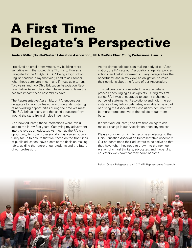# A First Time Delegate's Perspective

**Anders Miller (South-Western Education Association), NEA Co-Vice Chair Young Professional Caucus**

I received an email from Amber, my building representative with the subject line "Forms to Run as a Delegate for the OEA/NEA RA." Being a high school English teacher in my first year, I had to ask Amber what those acronyms meant and if I was able to run. Two years and two Ohio Education Association Representative Assemblies later, I have come to learn the positive impact these assemblies have.

The Representative Assembly, or RA, encourages delegates to grow professionally through its fostering of networking opportunities during the time we meet. The R.A. brings nearly one thousand educators from around the state from all roles imaginable.

As a new educator, these interactions were invaluable to me in my first years. Catalyzing my adjustment into the role as an educator. As much as the RA is an opportunity to grow professionally, it is also an opportunity for us to ensure that we, those on the front lines of public education, have a seat at the decision-making table, guiding the future of our students and the future of our profession.

As the democratic decision-making body of our Association, the RA sets our Association's agenda, policies, actions, and belief statements. Every delegate has the opportunity, and in my view, an obligation, to voice their opinions about the future of our Association.

This deliberation is completed through a debate process encouraging all viewpoints. During my first spring RA, I was encouraged to submit a change to our belief statements (Resolutions) and, with the assistance of my fellow delegates, was able to be a part of driving the Association's Resolutions document to be more representative of the beliefs of our members.

If a first-year educator, and first-time delegate can make a change in our Association, then anyone can.

Please consider running to become a delegate to the Ohio Education Association Representative Assembly. Our students need their educators to be active so that they have what they need to grow into the next generation of critical thinkers, advocates, and, hopefully, educators we know that they could become.

Below: Central Delegates at the 2017 NEA Representative Assembly

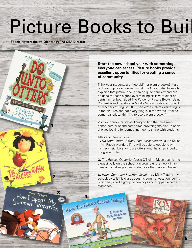# Picture Books to Build

**Soozie Hetterscheidt (Olentangy TA) OEA Director**



### **Start the new school year with something everyone can access. Picture books provide excellent opportunities for creating a sense of community.**

Think your students are "too old" for picture books? Mary Jo Fresch, professor emeritus at The Ohio State University, explains that picture books can be quite complex and can be used to teach higher-level thinking skills with older students. In her book titled The Power of Picture Books: Using Content Area Literature in Middle School (National Council of Teachers of English 2009) she writes, "Not everything is in the pictures and not everything is in the words. It takes some real critical thinking to use a picture book."

Visit your public or school library to find the titles mentioned here or spend some time browsing the picture book shelves looking for something new to share with students.

#### Titles and Descriptions

4 Facts by David Meeting

A Guide to **A Guide** *N*<br>**Paily Happiness** for Kids

1. *Do Unto Otters: A Book About Manners* by Laurie Keller  $\sim$  Mr. Rabbit wonders if he will be able to get along with his new neighbors, who are otters, until he is reminded of the golden rule.

2. *The Recess Queen* by Alexis O'Neill ~ Mean Jean is the biggest bully on the school playground until a new girl arrives and challenges Jean's status as the Recess Queen.

3. *How I Spent My Summer Vacation* by Mark Teague ~ A schoolboy tells his class about his summer vacation, during which he joined a group of cowboys and stopped a cattle stampede.

5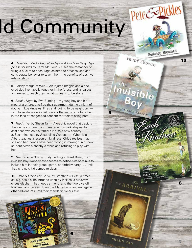# PeteGoPickles Id Community

4. *Have You Filled a Bucket Today? ~ A Guide to Daily Happiness for Kids* by Carol McCloud ~ Uses the metaphor of filling a bucket to encourage children to practice kind and considerate behavior to teach them the benefits of positive relationships.

**5.** *Fox* by Margaret Wild ~ An injured magpie and a oneeyed dog live happily together in the forest, until a jealous fox arrives to teach them what it means to be alone.

6. *Smoky Night* by Eve Bunting ~ A young boy and his mother are forced to flee their apartment during a night of rioting in Los Angeles. Fires and looting force neighbors who have always avoided one another—to come together in the face of danger and concern for their missing pets.

9

**7.** *The Arrival* by Shaun Tan ~ A graphic novel that depicts the journey of one man, threatened by dark shapes that cast shadows on his family's life, to a new country. 8. Each Kindness by Jacqueline Woodson ~ When Ms. Albert teaches a lesson on kindness, Chloe realizes that she and her friends have been wrong in making fun of new student Maya's shabby clothes and refusing to play with her.

**9.** *The Invisible Boy* by Trudy Ludwig ~ Meet Brian, the invisible boy. Nobody ever seems to notice him or thinks to include him in their group, game, or birthday party . . . until, that is, a new kid comes to class.

10. *Pete & Pickles* by Berkeley Breathed ~ Pete, a practical pig, has his life intruded upon by Pickles, a runaway circus elephant that needs a friend, and the two dive off Niagara Falls, careen down the Matterhorn, and engage in other adventures until their friendship wears thin.

6

7

**COUFLINE** 

 $\frac{6}{15}$  WIS

8

10

Berkeley Breathed

TRUDY LUDWIG

**RICE BARTON** 

 $\begin{array}{c}ARR_{IV_{A}}\\ \hline \end{array}$ 

FUE BUNTING BAYID DIAZ SHAUN TAN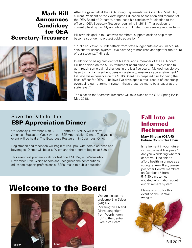## Mark Hill Announces **Candidacy** for OEA Secretary-Treasurer



After the gavel fell at the OEA Spring Representative Assembly, Mark Hill, current President of the Worthington Education Association and member of the OEA Board of Directors, announced his candidacy for election to the office of OEA Secretary-Treasurer beginning in 2018. That position is currently held by Tim Myers, who is term limited from seeking another term.

Hill says his goal is to, "activate members, support locals to help them become stronger, to protect public education."

"Public education is under attack from state budget cuts and an unaccountable charter school system. We have to get mobilized and fight for the future of our students," Hill said.

In addition to being president of his local and a member of the OEA board, Hill has served on the STRS retirement board since 2010. "We've had to go through some painful changes in the last five years. My goal has always been to maintain a solvent pension system to ensure a secure retirement." Hill says his experience on the STRS Board has prepared him for being the fiscal officer for OEA, "I believe I've developed a track record of leadership overseeing our retirement system that's prepared me to be a leader at the state level."

The election for Secretary-Treasurer will take place at the OEA Spring RA in May 2018.

### Save the Date for the ESP Appreciation Dinner

On Monday, November 13th, 2017, Central OEA/NEA will kick off American Education Week with our ESP Appreciation Dinner. This year's event will be held at The Boathouse Restaurant in Columbus, Ohio.

Registration and reception will begin at 5:00 pm, with hors d'oeuvres and beverages. Dinner will be at 6:00 pm and the program begins at 6:30 pm.

This event will prepare locals for National ESP Day on Wednesday, November 15th, which honors and recognizes the contributions education support professionals (ESPs) make to public education.

## Welcome to the Board





We are pleased to welcome Erin Salzer (left) from Pickerington EA and Diana Long (right) from Worthington ESP to the Central Executive Board.

## Fall Into an Informed Retirement

#### **Mary Binegar (OEA-R) Retiree Committee Chair**

Is retirement in your future within the next five years? Are you wondering whether or not you'll be able to afford health insurance as a young retiree? If so, please join other Central members on October 17 from 5 -7:30 p.m. to hear updated information about our retirement system

Please sign up for this event on the Central website.

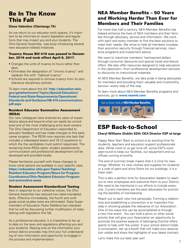## Be In The Know This Fall

#### **Diane Valentino (Olentangy TA)**

As we return to our educator work spaces, it's important to be informed on recent legislation and regulations that may impact you and your students. The Ohio General Assembly was busy introducing several new education-related initiatives.

#### Truancy House Bill 410 was passed in December, 2016 and took effect April 6, 2017.

- Changes the units of truancy to hours rather than days.
- Eliminates the designation of "chronic truancy" and replaces this with "habitual truancy"
- Schools are required to remove truancy from its zero tolerance disciplinary policies.

To learn more about this bill: **http://education.ohio. gov/getattachment/Topics/Special-Education/ Federal-and-State-Requirements/Operational-Standards-and-Guidance/HB-410-communication. pdf.aspx**

#### Resident Educator Summative Assessment (RESA)

Our new colleagues have endured six years of expectations above and beyond what can easily be considered one of the most challenging entry level careers. The Ohio Department of Education responded to educator feedback and has made changes to this early career program. The RESA now requires one task that includes a videotaped lesson and 10-12 questions to which the the candidates must submit responses. The remaining three RESA tasks: student assessments, communication and professional development will be developed and provided locally.

Please familiarize yourself with these changes to know what options are available in your specific case. **https://education.ohio.gov/Topics/Teaching/ Resident-Educator-Program/News-for-Program-Coordinators/Ohio-Resident-Educator-Programand-summative-asses**

#### Student Assessment-Standardized Testing

Also in response to our collective voices, the Ohio General Assembly has reduced two state-mandated tests. Effective immediately, the fourth and sixth grade social studies tests are eliminated. State Superintendent of Education Paolo DeMaria has indicated that he will be discussing further modification of state testing with legislators this fall.

 $\frac{1}{7}$ As a professional educator, it is imperative to be up to date on the laws and regulations affecting you and your students. Relying only on the information your school district provides may limit your full understanding of new information and opportunity to engage in the process and implementation.

### NEA Member Benefits – 50 Years and Working Harder Than Ever for Members and Their Families

For more than half a century, NEA Member Benefits has helped enhance the lives of NEA members and their families through advocacy, service and information. We work with each and every member to find the best solutions to meet their needs. We strive to help all members increase their economic security through financial services, insurance programs and investment advice.

We want to maximize members' hard-earned dollars through consumer discounts and special travel and leisure offers. We also offer resources designed to help educators in the classroom—from professional development services to discounts on instructional materials.

At NEA Member Benefits, we take pride in being advocates for members and providing them valuable and trustworthy service—every step of the way.

To learn more about NEA Member Benefits programs and services, go to **www.neamb.com** 



## ESP Back-to-School

#### **Cheryl Williams (Dublin SSA) OEA Director ESP at-large**

Happy New Year! Back to school is an exciting time for students, teachers and education support professionals alike. While most of us get time off, some ESP's work year-round to keep our facilities, our equipment and our offices running smoothly.

The end of summer break means that it is time for new things. Whether it's new clothes and supplies for students or a coat of paint and shiny floors for our buildings, it is a fresh start.

This is also a perfect time for Association leaders to reach out to new employees and welcome them to your District. We need to be intentional in our efforts to include everyone. Current members are the best advocates for promoting the benefits of membership.

Reach out to each new hire personally. Forming a relationship and establishing a connection is an important first step in showing people the relevance of our Association. One of the ways this can be accomplished is through a new hire event. You can hold a picnic or other social activity that will give your Association an opportunity to promote the positive aspects of belonging (Central offers grants to help with the costs). If your school district holds a convocation, set up a booth that will make your association visible and share the highlights of your latest contract.

Let's make this our best year yet!